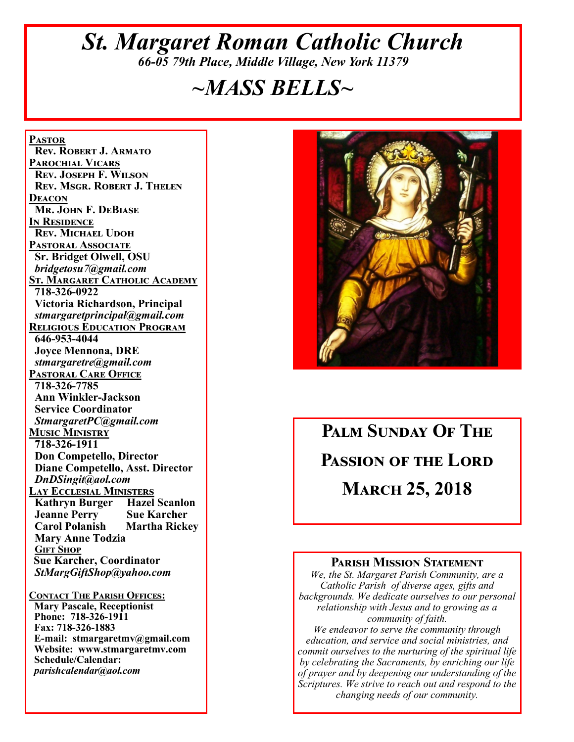# *St. Margaret Roman Catholic Church 66-05 79th Place, Middle Village, New York 11379*

# *~MASS BELLS~*

**Pastor Rev. Robert J. Armato Parochial Vicars Rev. Joseph F. Wilson Rev. Msgr. Robert J. Thelen Deacon Mr. John F. DeBiase In Residence Rev. Michael Udoh Pastoral Associate Sr. Bridget Olwell, OSU**  *bridgetosu7@gmail.com* **St. Margaret Catholic Academy 718-326-0922 Victoria Richardson, Principal**  *stmargaretprincipal@gmail.com* **Religious Education Program 646-953-4044 Joyce Mennona, DRE** *stmargaretre@gmail.com* **Pastoral Care Office 718-326-7785 Ann Winkler-Jackson Service Coordinator** *StmargaretPC@gmail.com* **Music Ministry 718-326-1911 Don Competello, Director Diane Competello, Asst. Director** *DnDSingit@aol.com* **Lay Ecclesial Ministers Kathryn Burger Hazel Scanlon Jeanne Perry Sue Karcher<br>Carol Polanish Martha Rickey Carol Polanish Mary Anne Todzia Gift Shop Sue Karcher, Coordinator** *StMargGiftShop@yahoo.com*

**Contact The Parish Offices: Mary Pascale, Receptionist Phone: 718-326-1911 Fax: 718-326-1883 E-mail: stmargaretmv@gmail.com Website: www.stmargaretmv.com Schedule/Calendar:** *parishcalendar@aol.com* 



# **Palm Sunday Of The Passion of the Lord March 25, 2018**

#### **Parish Mission Statement**

*We, the St. Margaret Parish Community, are a Catholic Parish of diverse ages, gifts and backgrounds. We dedicate ourselves to our personal relationship with Jesus and to growing as a community of faith.*

*We endeavor to serve the community through education, and service and social ministries, and commit ourselves to the nurturing of the spiritual life by celebrating the Sacraments, by enriching our life of prayer and by deepening our understanding of the Scriptures. We strive to reach out and respond to the changing needs of our community.*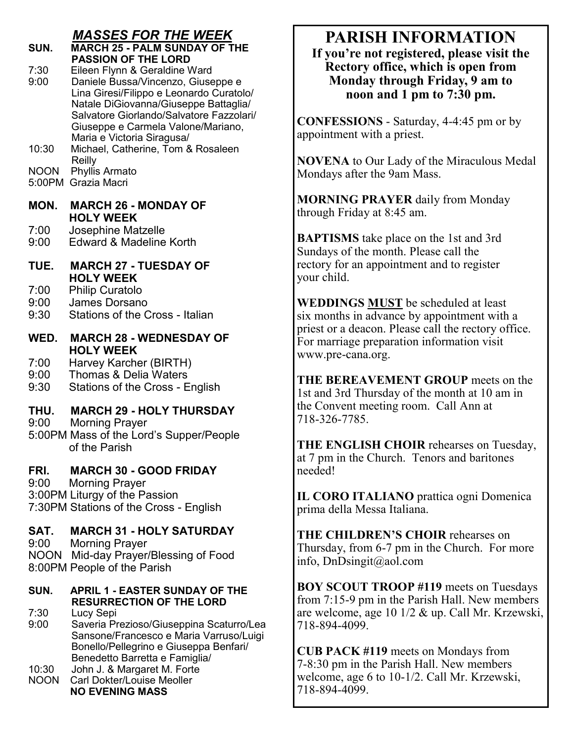# *MASSES FOR THE WEEK*

# **SUN. MARCH 25 - PALM SUNDAY OF THE PASSION OF THE LORD**<br>7:30 **Fileen Flynn & Geraldine V**

7:30 Eileen Flynn & Geraldine Ward<br>9:00 Daniele Bussa/Vincenzo, Giuse

Daniele Bussa/Vincenzo, Giuseppe e Lina Giresi/Filippo e Leonardo Curatolo/ Natale DiGiovanna/Giuseppe Battaglia/ Salvatore Giorlando/Salvatore Fazzolari/ Giuseppe e Carmela Valone/Mariano,

Maria e Victoria Siragusa/<br>10:30 Michael Catherine Tom & Michael, Catherine, Tom & Rosaleen Reilly

NOON Phyllis Armato

5:00PM Grazia Macri

#### **MON. MARCH 26 - MONDAY OF HOLY WEEK**

7:00 Josephine Matzelle<br>9:00 Edward & Madeline

Edward & Madeline Korth

#### **TUE. MARCH 27 - TUESDAY OF HOLY WEEK**

- 7:00 Philip Curatolo
- 9:00 James Dorsano
- 9:30 Stations of the Cross Italian

#### **WED. MARCH 28 - WEDNESDAY OF HOLY WEEK**

7:00 Harvey Karcher (BIRTH)

- 9:00 Thomas & Delia Waters
- 9:30 Stations of the Cross English

# **THU. MARCH 29 - HOLY THURSDAY**<br>9:00 Morning Praver

Morning Prayer

5:00PM Mass of the Lord's Supper/People of the Parish

## **FRI. MARCH 30 - GOOD FRIDAY**

9:00 Morning Prayer 3:00PM Liturgy of the Passion 7:30PM Stations of the Cross - English

## **SAT. MARCH 31 - HOLY SATURDAY**

9:00 Morning Prayer NOON Mid-day Prayer/Blessing of Food 8:00PM People of the Parish

# **SUN. APRIL 1 - EASTER SUNDAY OF THE RESURRECTION OF THE LORD**<br>7:30 Lucy Sepi

Lucy Sepi

- 9:00 Saveria Prezioso/Giuseppina Scaturro/Lea Sansone/Francesco e Maria Varruso/Luigi Bonello/Pellegrino e Giuseppa Benfari/ Benedetto Barretta e Famiglia/
- John J. & Margaret M. Forte NOON Carl Dokter/Louise Meoller **NO EVENING MASS**

# **PARISH INFORMATION**

**If you're not registered, please visit the Rectory office, which is open from Monday through Friday, 9 am to noon and 1 pm to 7:30 pm.**

**CONFESSIONS** - Saturday, 4-4:45 pm or by appointment with a priest.

**NOVENA** to Our Lady of the Miraculous Medal Mondays after the 9am Mass.

**MORNING PRAYER** daily from Monday through Friday at 8:45 am.

**BAPTISMS** take place on the 1st and 3rd Sundays of the month. Please call the rectory for an appointment and to register your child.

**WEDDINGS MUST** be scheduled at least six months in advance by appointment with a priest or a deacon. Please call the rectory office. For marriage preparation information visit www.pre-cana.org.

**THE BEREAVEMENT GROUP** meets on the 1st and 3rd Thursday of the month at 10 am in the Convent meeting room. Call Ann at 718-326-7785.

**THE ENGLISH CHOIR** rehearses on Tuesday, at 7 pm in the Church. Tenors and baritones needed!

**IL CORO ITALIANO** prattica ogni Domenica prima della Messa Italiana.

**THE CHILDREN'S CHOIR** rehearses on Thursday, from 6-7 pm in the Church. For more info, DnDsingit@aol.com

**BOY SCOUT TROOP #119** meets on Tuesdays from 7:15-9 pm in the Parish Hall. New members are welcome, age 10 1/2 & up. Call Mr. Krzewski, 718-894-4099.

**CUB PACK #119** meets on Mondays from 7-8:30 pm in the Parish Hall. New members welcome, age 6 to 10-1/2. Call Mr. Krzewski, 718-894-4099.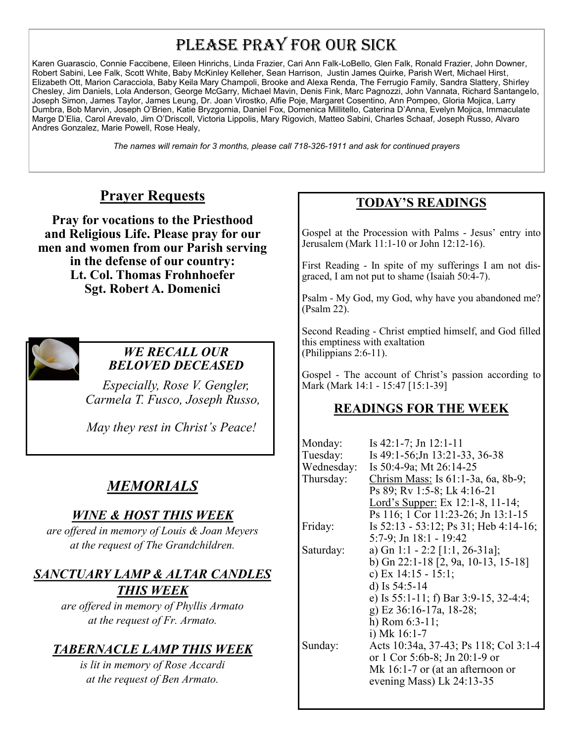# PLEASE PRAY FOR OUR SICK

Karen Guarascio, Connie Faccibene, Eileen Hinrichs, Linda Frazier, Cari Ann Falk-LoBello, Glen Falk, Ronald Frazier, John Downer, Robert Sabini, Lee Falk, Scott White, Baby McKinley Kelleher, Sean Harrison, Justin James Quirke, Parish Wert, Michael Hirst, Elizabeth Ott, Marion Caracciola, Baby Keila Mary Champoli, Brooke and Alexa Renda, The Ferrugio Family, Sandra Slattery, Shirley Chesley, Jim Daniels, Lola Anderson, George McGarry, Michael Mavin, Denis Fink, Marc Pagnozzi, John Vannata, Richard Santangelo, Joseph Simon, James Taylor, James Leung, Dr. Joan Virostko, Alfie Poje, Margaret Cosentino, Ann Pompeo, Gloria Mojica, Larry Dumbra, Bob Marvin, Joseph O'Brien, Katie Bryzgornia, Daniel Fox, Domenica Millitello, Caterina D'Anna, Evelyn Mojica, Immaculate Marge D'Elia, Carol Arevalo, Jim O'Driscoll, Victoria Lippolis, Mary Rigovich, Matteo Sabini, Charles Schaaf, Joseph Russo, Alvaro Andres Gonzalez, Marie Powell, Rose Healy,

*The names will remain for 3 months, please call 718-326-1911 and ask for continued prayers*

# **Prayer Requests**

**Pray for vocations to the Priesthood and Religious Life. Please pray for our men and women from our Parish serving in the defense of our country: Lt. Col. Thomas Frohnhoefer Sgt. Robert A. Domenici** 



#### *WE RECALL OUR BELOVED DECEASED*

*Especially, Rose V. Gengler, Carmela T. Fusco, Joseph Russo,* 

 *May they rest in Christ's Peace!*

# *MEMORIALS*

#### *WINE & HOST THIS WEEK*

*are offered in memory of Louis & Joan Meyers at the request of The Grandchildren.*

## *SANCTUARY LAMP & ALTAR CANDLES THIS WEEK*

*are offered in memory of Phyllis Armato at the request of Fr. Armato.*

# *TABERNACLE LAMP THIS WEEK*

*is lit in memory of Rose Accardi at the request of Ben Armato.*

## **TODAY'S READINGS**

Gospel at the Procession with Palms - Jesus' entry into Jerusalem (Mark 11:1-10 or John 12:12-16).

First Reading - In spite of my sufferings I am not disgraced, I am not put to shame (Isaiah 50:4-7).

Psalm - My God, my God, why have you abandoned me? (Psalm 22).

Second Reading - Christ emptied himself, and God filled this emptiness with exaltation (Philippians 2:6-11).

Gospel - The account of Christ's passion according to Mark (Mark 14:1 - 15:47 [15:1-39]

# **READINGS FOR THE WEEK**

| Monday:    | Is $42:1-7$ ; Jn $12:1-11$               |
|------------|------------------------------------------|
| Tuesday:   | Is 49:1-56; Jn 13:21-33, 36-38           |
| Wednesday: | Is 50:4-9a; Mt 26:14-25                  |
| Thursday:  | Chrism Mass: Is 61:1-3a, 6a, 8b-9;       |
|            | Ps 89; Rv 1:5-8; Lk 4:16-21              |
|            | Lord's Supper: Ex 12:1-8, 11-14;         |
|            | Ps 116; 1 Cor 11:23-26; Jn 13:1-15       |
| Friday:    | Is $52:13 - 53:12$ ; Ps 31; Heb 4:14-16; |
|            | $5:7-9$ ; Jn 18:1 - 19:42                |
| Saturday:  | a) Gn 1:1 - 2:2 [1:1, 26-31a];           |
|            | b) Gn 22:1-18 [2, 9a, 10-13, 15-18]      |
|            | c) Ex $14:15 - 15:1;$                    |
|            | d) Is $54:5-14$                          |
|            | e) Is 55:1-11; f) Bar 3:9-15, 32-4:4;    |
|            | g) Ez 36:16-17a, 18-28;                  |
|            | h) Rom $6:3-11$ ;                        |
|            | i) Mk $16:1-7$                           |
| Sunday:    | Acts 10:34a, 37-43; Ps 118; Col 3:1-4    |
|            | or 1 Cor 5:6b-8; Jn 20:1-9 or            |
|            | Mk 16:1-7 or (at an afternoon or         |
|            | evening Mass) Lk 24:13-35                |
|            |                                          |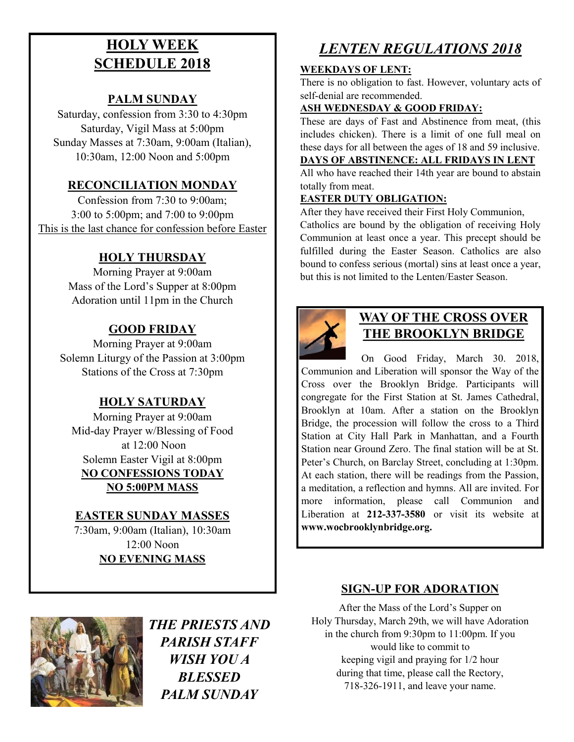# **HOLY WEEK SCHEDULE 2018**

#### **PALM SUNDAY**

Saturday, confession from 3:30 to 4:30pm Saturday, Vigil Mass at 5:00pm Sunday Masses at 7:30am, 9:00am (Italian), 10:30am, 12:00 Noon and 5:00pm

#### **RECONCILIATION MONDAY**

Confession from 7:30 to 9:00am; 3:00 to 5:00pm; and 7:00 to 9:00pm This is the last chance for confession before Easter

## **HOLY THURSDAY**

Morning Prayer at 9:00am Mass of the Lord's Supper at 8:00pm Adoration until 11pm in the Church

## **GOOD FRIDAY**

Morning Prayer at 9:00am Solemn Liturgy of the Passion at 3:00pm Stations of the Cross at 7:30pm

#### **HOLY SATURDAY**

Morning Prayer at 9:00am Mid-day Prayer w/Blessing of Food at 12:00 Noon Solemn Easter Vigil at 8:00pm **NO CONFESSIONS TODAY NO 5:00PM MASS**

#### **EASTER SUNDAY MASSES**

7:30am, 9:00am (Italian), 10:30am 12:00 Noon **NO EVENING MASS**



*THE PRIESTS AND PARISH STAFF WISH YOU A BLESSED PALM SUNDAY*

# *LENTEN REGULATIONS 2018*

#### **WEEKDAYS OF LENT:**

There is no obligation to fast. However, voluntary acts of self-denial are recommended.

#### **ASH WEDNESDAY & GOOD FRIDAY:**

These are days of Fast and Abstinence from meat, (this includes chicken). There is a limit of one full meal on these days for all between the ages of 18 and 59 inclusive.

#### **DAYS OF ABSTINENCE: ALL FRIDAYS IN LENT**

All who have reached their 14th year are bound to abstain totally from meat.

#### **EASTER DUTY OBLIGATION:**

After they have received their First Holy Communion, Catholics are bound by the obligation of receiving Holy

Communion at least once a year. This precept should be fulfilled during the Easter Season. Catholics are also bound to confess serious (mortal) sins at least once a year, but this is not limited to the Lenten/Easter Season.



# **WAY OF THE CROSS OVER THE BROOKLYN BRIDGE**

 On Good Friday, March 30. 2018, Communion and Liberation will sponsor the Way of the Cross over the Brooklyn Bridge. Participants will congregate for the First Station at St. James Cathedral, Brooklyn at 10am. After a station on the Brooklyn Bridge, the procession will follow the cross to a Third Station at City Hall Park in Manhattan, and a Fourth Station near Ground Zero. The final station will be at St. Peter's Church, on Barclay Street, concluding at 1:30pm. At each station, there will be readings from the Passion, a meditation, a reflection and hymns. All are invited. For more information, please call Communion and Liberation at **212-337-3580** or visit its website at **www.wocbrooklynbridge.org.**

#### **SIGN-UP FOR ADORATION**

After the Mass of the Lord's Supper on Holy Thursday, March 29th, we will have Adoration in the church from 9:30pm to 11:00pm. If you would like to commit to keeping vigil and praying for 1/2 hour during that time, please call the Rectory, 718-326-1911, and leave your name.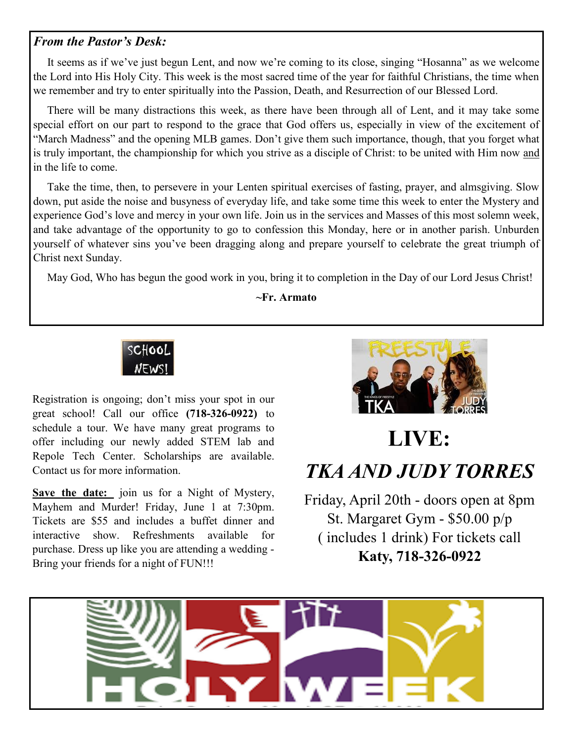#### *From the Pastor's Desk:*

 It seems as if we've just begun Lent, and now we're coming to its close, singing "Hosanna" as we welcome the Lord into His Holy City. This week is the most sacred time of the year for faithful Christians, the time when we remember and try to enter spiritually into the Passion, Death, and Resurrection of our Blessed Lord.

 There will be many distractions this week, as there have been through all of Lent, and it may take some special effort on our part to respond to the grace that God offers us, especially in view of the excitement of "March Madness" and the opening MLB games. Don't give them such importance, though, that you forget what is truly important, the championship for which you strive as a disciple of Christ: to be united with Him now and in the life to come.

 Take the time, then, to persevere in your Lenten spiritual exercises of fasting, prayer, and almsgiving. Slow down, put aside the noise and busyness of everyday life, and take some time this week to enter the Mystery and experience God's love and mercy in your own life. Join us in the services and Masses of this most solemn week, and take advantage of the opportunity to go to confession this Monday, here or in another parish. Unburden yourself of whatever sins you've been dragging along and prepare yourself to celebrate the great triumph of Christ next Sunday.

May God, Who has begun the good work in you, bring it to completion in the Day of our Lord Jesus Christ!

**~Fr. Armato**



Registration is ongoing; don't miss your spot in our great school! Call our office **(718-326-0922)** to schedule a tour. We have many great programs to offer including our newly added STEM lab and Repole Tech Center. Scholarships are available. Contact us for more information.

**Save the date:** join us for a Night of Mystery, Mayhem and Murder! Friday, June 1 at 7:30pm. Tickets are \$55 and includes a buffet dinner and interactive show. Refreshments available for purchase. Dress up like you are attending a wedding - Bring your friends for a night of FUN!!!



# **LIVE:** *TKA AND JUDY TORRES*

Friday, April 20th - doors open at 8pm St. Margaret Gym - \$50.00 p/p ( includes 1 drink) For tickets call **Katy, 718-326-0922**